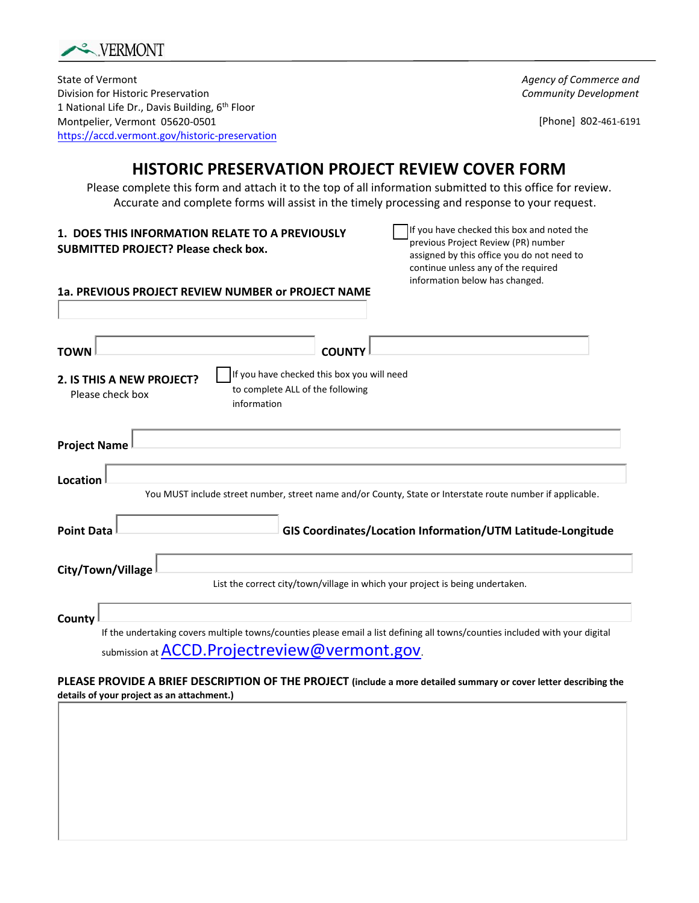

State of Vermont Division for Historic Preservation 1 National Life Dr., Davis Building, 6<sup>th</sup> Floor Montpelier, Vermont 05620-0501 <https://accd.vermont.gov/historic-preservation> *Agency of Commerce and Community Development*

[Phone] 802-461-6191

## **HISTORIC PRESERVATION PROJECT REVIEW COVER FORM**

Please complete this form and attach it to the top of all information submitted to this office for review. Accurate and complete forms will assist in the timely processing and response to your request.

| 1. DOES THIS INFORMATION RELATE TO A PREVIOUSLY<br><b>SUBMITTED PROJECT? Please check box.</b>                                                 | If you have checked this box and noted the<br>previous Project Review (PR) number<br>assigned by this office you do not need to<br>continue unless any of the required |
|------------------------------------------------------------------------------------------------------------------------------------------------|------------------------------------------------------------------------------------------------------------------------------------------------------------------------|
| 1a. PREVIOUS PROJECT REVIEW NUMBER or PROJECT NAME                                                                                             | information below has changed.                                                                                                                                         |
| <b>COUNTY</b><br><b>TOWN</b>                                                                                                                   |                                                                                                                                                                        |
| If you have checked this box you will need<br>2. IS THIS A NEW PROJECT?<br>to complete ALL of the following<br>Please check box<br>information |                                                                                                                                                                        |
| <b>Project Name</b>                                                                                                                            |                                                                                                                                                                        |
| Location                                                                                                                                       | You MUST include street number, street name and/or County, State or Interstate route number if applicable.                                                             |
| <b>Point Data</b>                                                                                                                              | GIS Coordinates/Location Information/UTM Latitude-Longitude                                                                                                            |
| City/Town/Village<br>List the correct city/town/village in which your project is being undertaken.                                             |                                                                                                                                                                        |
| County<br>If the undertaking covers multiple towns/counties please email a list defining all towns/counties included with your digital         |                                                                                                                                                                        |

submission at **[ACCD.Projectreview@vermont.gov](mailto:ACCD.Projectreview@vermont.gov)**.

**PLEASE PROVIDE A BRIEF DESCRIPTION OF THE PROJECT (include a more detailed summary or cover letter describing the details of your project as an attachment.)**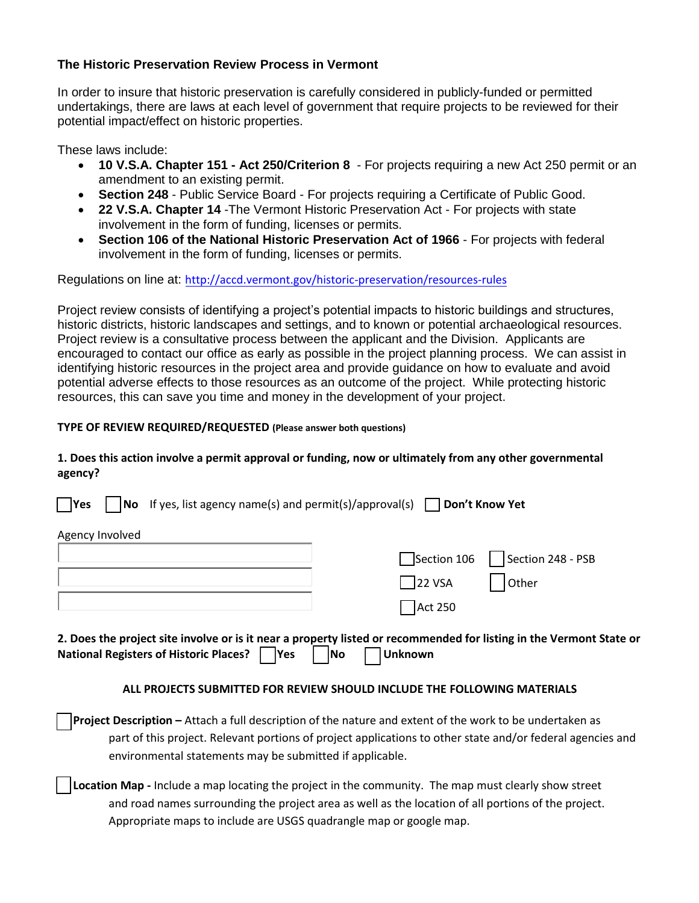## **The Historic Preservation Review Process in Vermont**

In order to insure that historic preservation is carefully considered in publicly-funded or permitted undertakings, there are laws at each level of government that require projects to be reviewed for their potential impact/effect on historic properties.

These laws include:

- **[10 V.S.A. Chapter 151 Act 250/Criterion 8](http://accd.vermont.gov/strong_communities/preservation/review_compliance/rules/act250)** For projects requiring a new Act 250 permit or an amendment to an existing permit.
- **Section 248** Public Service Board For projects requiring a Certificate of Public Good.
- **22 V.S.A. Chapter 14** -The Vermont Historic Preservation Act For projects with state involvement in the form of funding, licenses or permits.
- **[Section 106 of the National Historic Preservation Act of 1966](http://accd.vermont.gov/strong_communities/preservation/review_compliance/rules/106)** For projects with federal involvement in the form of funding, licenses or permits.

Regulations on line at: http://accd.vermont.gov/[historic-preservation/resources-rules](http://accd.vermont.gov/strong_communities/preservation/review_compliance/rules)

Project review consists of identifying a project's potential impacts to historic buildings and structures, historic districts, historic landscapes and settings, and to known or potential archaeological resources. Project review is a consultative process between the applicant and the Division. Applicants are encouraged to contact our office as early as possible in the project planning process. We can assist in identifying historic resources in the project area and provide guidance on how to evaluate and avoid potential adverse effects to those resources as an outcome of the project. While protecting historic resources, this can save you time and money in the development of your project.

## **TYPE OF REVIEW REQUIRED/REQUESTED (Please answer both questions)**

## **1. Does this action involve a permit approval or funding, now or ultimately from any other governmental agency?**

| <b>No</b> If yes, list agency name(s) and permit(s)/approval(s) $\Box$<br>$\overline{\phantom{a}}$ Yes                                                                                                                                                                                    |                    | Don't Know Yet    |  |
|-------------------------------------------------------------------------------------------------------------------------------------------------------------------------------------------------------------------------------------------------------------------------------------------|--------------------|-------------------|--|
| Agency Involved                                                                                                                                                                                                                                                                           |                    |                   |  |
|                                                                                                                                                                                                                                                                                           | Section 106        | Section 248 - PSB |  |
|                                                                                                                                                                                                                                                                                           | $ 22 \text{ VSA} $ | Other             |  |
|                                                                                                                                                                                                                                                                                           | <b>Act 250</b>     |                   |  |
| 2. Does the project site involve or is it near a property listed or recommended for listing in the Vermont State or<br>National Registers of Historic Places?    Yes<br><b>Unknown</b><br>lNo.                                                                                            |                    |                   |  |
| ALL PROJECTS SUBMITTED FOR REVIEW SHOULD INCLUDE THE FOLLOWING MATERIALS                                                                                                                                                                                                                  |                    |                   |  |
| <b>Project Description -</b> Attach a full description of the nature and extent of the work to be undertaken as<br>part of this project. Relevant portions of project applications to other state and/or federal agencies and<br>environmental statements may be submitted if applicable. |                    |                   |  |
| Location Map - Include a map locating the project in the community. The map must clearly show street                                                                                                                                                                                      |                    |                   |  |

 and road names surrounding the project area as well as the location of all portions of the project. Appropriate maps to include are USGS quadrangle map or google map.